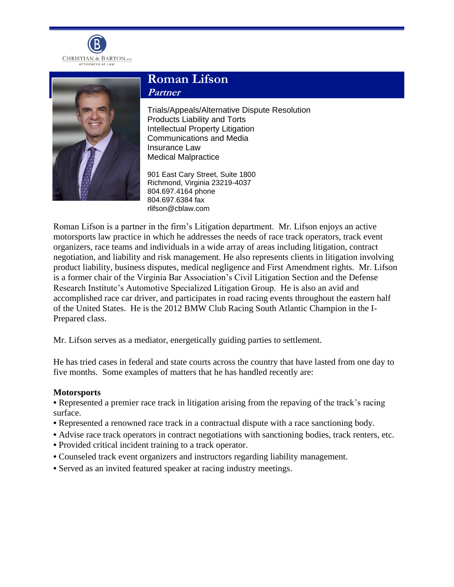



# **Roman Lifson Partner**

Trials/Appeals/Alternative Dispute Resolution Products Liability and Torts Intellectual Property Litigation Communications and Media Insurance Law Medical Malpractice

901 East Cary Street, Suite 1800 Richmond, Virginia 23219-4037 804.697.4164 phone 804.697.6384 fax rlifson@cblaw.com

Roman Lifson is a partner in the firm's Litigation department. Mr. Lifson enjoys an active motorsports law practice in which he addresses the needs of race track operators, track event organizers, race teams and individuals in a wide array of areas including litigation, contract negotiation, and liability and risk management. He also represents clients in litigation involving product liability, business disputes, medical negligence and First Amendment rights. Mr. Lifson is a former chair of the Virginia Bar Association's Civil Litigation Section and the Defense Research Institute's Automotive Specialized Litigation Group. He is also an avid and accomplished race car driver, and participates in road racing events throughout the eastern half of the United States. He is the 2012 BMW Club Racing South Atlantic Champion in the I-Prepared class.

Mr. Lifson serves as a mediator, energetically guiding parties to settlement.

He has tried cases in federal and state courts across the country that have lasted from one day to five months. Some examples of matters that he has handled recently are:

#### **Motorsports**

**•** Represented a premier race track in litigation arising from the repaving of the track's racing surface.

- **•** Represented a renowned race track in a contractual dispute with a race sanctioning body.
- **•** Advise race track operators in contract negotiations with sanctioning bodies, track renters, etc.
- **•** Provided critical incident training to a track operator.
- **•** Counseled track event organizers and instructors regarding liability management.
- **•** Served as an invited featured speaker at racing industry meetings.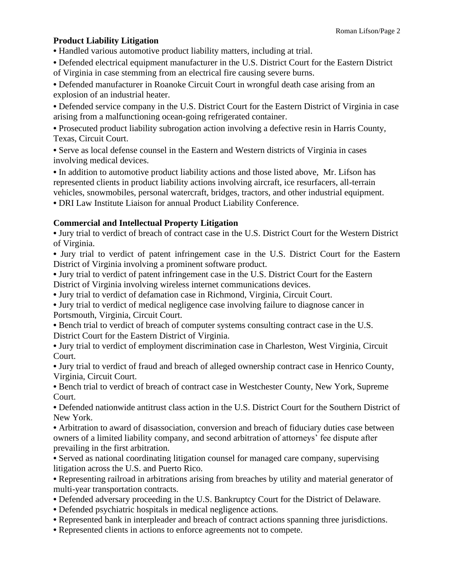## **Product Liability Litigation**

**•** Handled various automotive product liability matters, including at trial.

**•** Defended electrical equipment manufacturer in the U.S. District Court for the Eastern District of Virginia in case stemming from an electrical fire causing severe burns.

**•** Defended manufacturer in Roanoke Circuit Court in wrongful death case arising from an explosion of an industrial heater.

**•** Defended service company in the U.S. District Court for the Eastern District of Virginia in case arising from a malfunctioning ocean-going refrigerated container.

**•** Prosecuted product liability subrogation action involving a defective resin in Harris County, Texas, Circuit Court.

**•** Serve as local defense counsel in the Eastern and Western districts of Virginia in cases involving medical devices.

**•** In addition to automotive product liability actions and those listed above, Mr. Lifson has represented clients in product liability actions involving aircraft, ice resurfacers, all-terrain vehicles, snowmobiles, personal watercraft, bridges, tractors, and other industrial equipment.

**•** DRI Law Institute Liaison for annual Product Liability Conference.

## **Commercial and Intellectual Property Litigation**

**•** Jury trial to verdict of breach of contract case in the U.S. District Court for the Western District of Virginia.

**•** Jury trial to verdict of patent infringement case in the U.S. District Court for the Eastern District of Virginia involving a prominent software product.

**•** Jury trial to verdict of patent infringement case in the U.S. District Court for the Eastern District of Virginia involving wireless internet communications devices.

**•** Jury trial to verdict of defamation case in Richmond, Virginia, Circuit Court.

**•** Jury trial to verdict of medical negligence case involving failure to diagnose cancer in Portsmouth, Virginia, Circuit Court.

**•** Bench trial to verdict of breach of computer systems consulting contract case in the U.S. District Court for the Eastern District of Virginia.

**•** Jury trial to verdict of employment discrimination case in Charleston, West Virginia, Circuit Court.

**•** Jury trial to verdict of fraud and breach of alleged ownership contract case in Henrico County, Virginia, Circuit Court.

**•** Bench trial to verdict of breach of contract case in Westchester County, New York, Supreme Court.

**•** Defended nationwide antitrust class action in the U.S. District Court for the Southern District of New York.

**•** Arbitration to award of disassociation, conversion and breach of fiduciary duties case between owners of a limited liability company, and second arbitration of attorneys' fee dispute after prevailing in the first arbitration.

**•** Served as national coordinating litigation counsel for managed care company, supervising litigation across the U.S. and Puerto Rico.

**•** Representing railroad in arbitrations arising from breaches by utility and material generator of multi-year transportation contracts.

- **•** Defended adversary proceeding in the U.S. Bankruptcy Court for the District of Delaware.
- **•** Defended psychiatric hospitals in medical negligence actions.
- **•** Represented bank in interpleader and breach of contract actions spanning three jurisdictions.
- **•** Represented clients in actions to enforce agreements not to compete.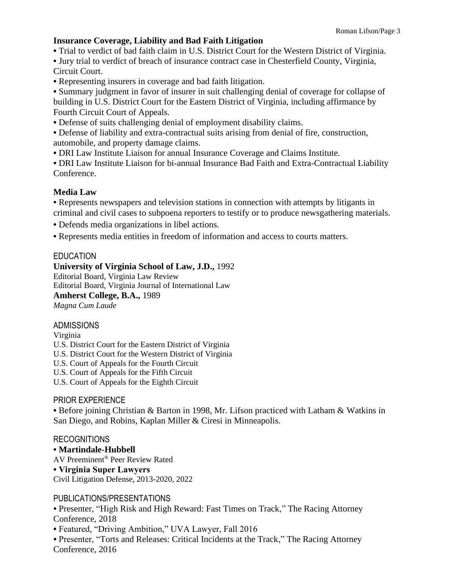## **Insurance Coverage, Liability and Bad Faith Litigation**

**•** Trial to verdict of bad faith claim in U.S. District Court for the Western District of Virginia.

**•** Jury trial to verdict of breach of insurance contract case in Chesterfield County, Virginia, Circuit Court.

**•** Representing insurers in coverage and bad faith litigation.

**•** Summary judgment in favor of insurer in suit challenging denial of coverage for collapse of building in U.S. District Court for the Eastern District of Virginia, including affirmance by Fourth Circuit Court of Appeals.

**•** Defense of suits challenging denial of employment disability claims.

**•** Defense of liability and extra-contractual suits arising from denial of fire, construction, automobile, and property damage claims.

**•** DRI Law Institute Liaison for annual Insurance Coverage and Claims Institute.

**•** DRI Law Institute Liaison for bi-annual Insurance Bad Faith and Extra-Contractual Liability Conference.

## **Media Law**

**•** Represents newspapers and television stations in connection with attempts by litigants in criminal and civil cases to subpoena reporters to testify or to produce newsgathering materials.

**•** Defends media organizations in libel actions.

**•** Represents media entities in freedom of information and access to courts matters.

## **EDUCATION**

#### **University of Virginia School of Law, J.D.,** 1992

Editorial Board, Virginia Law Review Editorial Board, Virginia Journal of International Law **Amherst College, B.A.,** 1989 *Magna Cum Laude*

#### ADMISSIONS

Virginia

U.S. District Court for the Eastern District of Virginia

U.S. District Court for the Western District of Virginia

U.S. Court of Appeals for the Fourth Circuit

U.S. Court of Appeals for the Fifth Circuit

U.S. Court of Appeals for the Eighth Circuit

#### PRIOR EXPERIENCE

**•** Before joining Christian & Barton in 1998, Mr. Lifson practiced with Latham & Watkins in San Diego, and Robins, Kaplan Miller & Ciresi in Minneapolis.

#### RECOGNITIONS

**• Martindale-Hubbell**

AV Preeminent® Peer Review Rated

## **• Virginia Super Lawyers**

Civil Litigation Defense, 2013-2020, 2022

#### PUBLICATIONS/PRESENTATIONS

*•* Presenter, "High Risk and High Reward: Fast Times on Track," The Racing Attorney Conference, 2018

**•** Featured, "Driving Ambition," UVA Lawyer, Fall 2016

*•* Presenter, "Torts and Releases: Critical Incidents at the Track," The Racing Attorney Conference, 2016